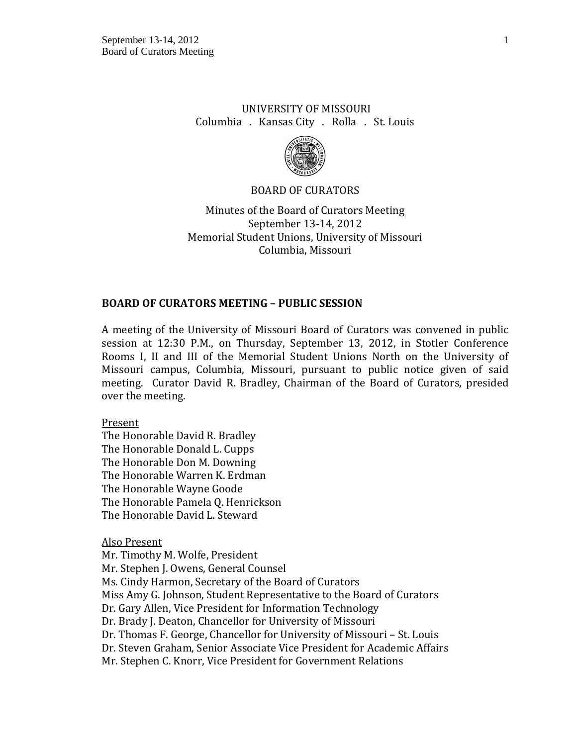# UNIVERSITY OF MISSOURI Columbia . Kansas City . Rolla . St. Louis



### BOARD OF CURATORS

Minutes of the Board of Curators Meeting September 13-14, 2012 Memorial Student Unions, University of Missouri Columbia, Missouri

### **BOARD OF CURATORS MEETING – PUBLIC SESSION**

A meeting of the University of Missouri Board of Curators was convened in public session at 12:30 P.M., on Thursday, September 13, 2012, in Stotler Conference Rooms I, II and III of the Memorial Student Unions North on the University of Missouri campus, Columbia, Missouri, pursuant to public notice given of said meeting. Curator David R. Bradley, Chairman of the Board of Curators, presided over the meeting.

Present

The Honorable David R. Bradley The Honorable Donald L. Cupps The Honorable Don M. Downing The Honorable Warren K. Erdman The Honorable Wayne Goode The Honorable Pamela Q. Henrickson The Honorable David L. Steward

Also Present

Mr. Timothy M. Wolfe, President Mr. Stephen J. Owens, General Counsel Ms. Cindy Harmon, Secretary of the Board of Curators Miss Amy G. Johnson, Student Representative to the Board of Curators Dr. Gary Allen, Vice President for Information Technology Dr. Brady J. Deaton, Chancellor for University of Missouri Dr. Thomas F. George, Chancellor for University of Missouri – St. Louis Dr. Steven Graham, Senior Associate Vice President for Academic Affairs Mr. Stephen C. Knorr, Vice President for Government Relations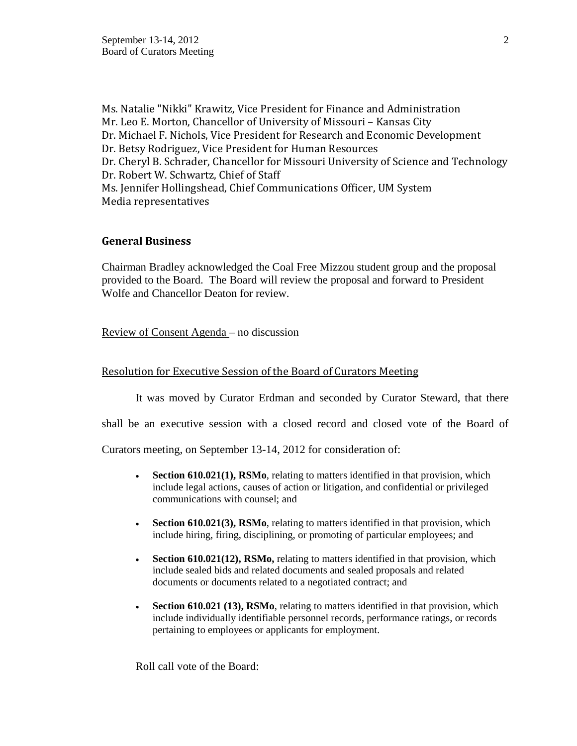Ms. Natalie "Nikki" Krawitz, Vice President for Finance and Administration Mr. Leo E. Morton, Chancellor of University of Missouri – Kansas City Dr. Michael F. Nichols, Vice President for Research and Economic Development Dr. Betsy Rodriguez, Vice President for Human Resources Dr. Cheryl B. Schrader, Chancellor for Missouri University of Science and Technology Dr. Robert W. Schwartz, Chief of Staff Ms. Jennifer Hollingshead, Chief Communications Officer, UM System Media representatives

# **General Business**

Chairman Bradley acknowledged the Coal Free Mizzou student group and the proposal provided to the Board. The Board will review the proposal and forward to President Wolfe and Chancellor Deaton for review.

### Review of Consent Agenda – no discussion

### Resolution for Executive Session of the Board of Curators Meeting

It was moved by Curator Erdman and seconded by Curator Steward, that there

shall be an executive session with a closed record and closed vote of the Board of

Curators meeting, on September 13-14, 2012 for consideration of:

- **Section 610.021(1), RSMo**, relating to matters identified in that provision, which include legal actions, causes of action or litigation, and confidential or privileged communications with counsel; and
- **Section 610.021(3), RSMo**, relating to matters identified in that provision, which include hiring, firing, disciplining, or promoting of particular employees; and
- **Section 610.021(12), RSMo,** relating to matters identified in that provision, which include sealed bids and related documents and sealed proposals and related documents or documents related to a negotiated contract; and
- **Section 610.021 (13), RSMo**, relating to matters identified in that provision, which include individually identifiable personnel records, performance ratings, or records pertaining to employees or applicants for employment.

Roll call vote of the Board: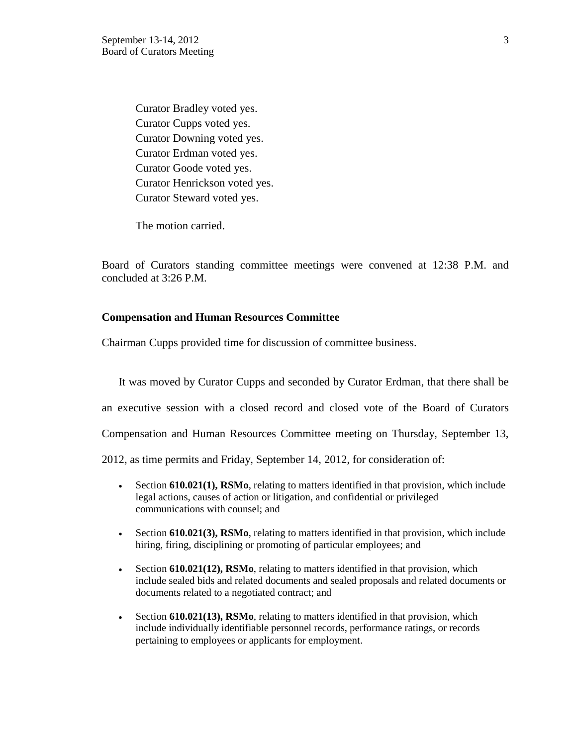Curator Bradley voted yes. Curator Cupps voted yes. Curator Downing voted yes. Curator Erdman voted yes. Curator Goode voted yes. Curator Henrickson voted yes. Curator Steward voted yes.

The motion carried.

Board of Curators standing committee meetings were convened at 12:38 P.M. and concluded at 3:26 P.M.

#### **Compensation and Human Resources Committee**

Chairman Cupps provided time for discussion of committee business.

It was moved by Curator Cupps and seconded by Curator Erdman, that there shall be an executive session with a closed record and closed vote of the Board of Curators Compensation and Human Resources Committee meeting on Thursday, September 13, 2012, as time permits and Friday, September 14, 2012, for consideration of:

- Section **610.021(1), RSMo**, relating to matters identified in that provision, which include legal actions, causes of action or litigation, and confidential or privileged communications with counsel; and
- Section **610.021(3), RSMo**, relating to matters identified in that provision, which include hiring, firing, disciplining or promoting of particular employees; and
- Section **610.021(12), RSMo**, relating to matters identified in that provision, which include sealed bids and related documents and sealed proposals and related documents or documents related to a negotiated contract; and
- Section **610.021(13), RSMo**, relating to matters identified in that provision, which include individually identifiable personnel records, performance ratings, or records pertaining to employees or applicants for employment.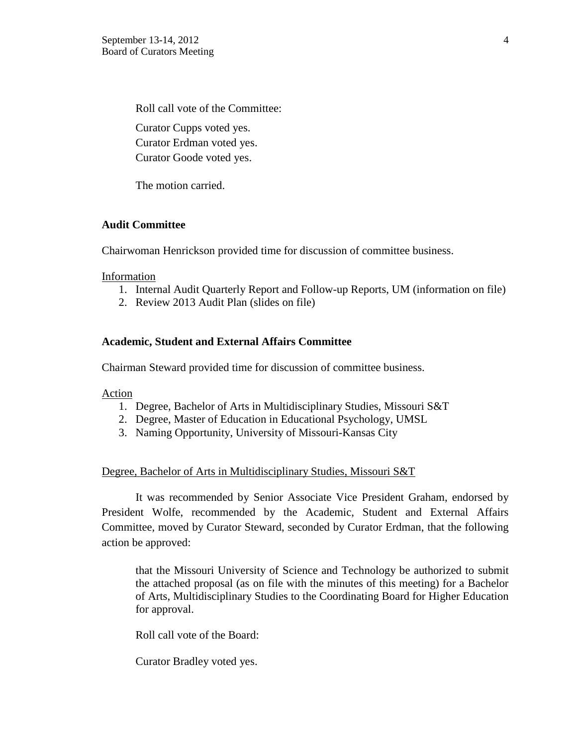Roll call vote of the Committee: Curator Cupps voted yes. Curator Erdman voted yes. Curator Goode voted yes.

The motion carried.

### **Audit Committee**

Chairwoman Henrickson provided time for discussion of committee business.

Information

- 1. Internal Audit Quarterly Report and Follow-up Reports, UM (information on file)
- 2. Review 2013 Audit Plan (slides on file)

## **Academic, Student and External Affairs Committee**

Chairman Steward provided time for discussion of committee business.

#### Action

- 1. Degree, Bachelor of Arts in Multidisciplinary Studies, Missouri S&T
- 2. Degree, Master of Education in Educational Psychology, UMSL
- 3. Naming Opportunity, University of Missouri-Kansas City

#### Degree, Bachelor of Arts in Multidisciplinary Studies, Missouri S&T

It was recommended by Senior Associate Vice President Graham, endorsed by President Wolfe, recommended by the Academic, Student and External Affairs Committee, moved by Curator Steward, seconded by Curator Erdman, that the following action be approved:

that the Missouri University of Science and Technology be authorized to submit the attached proposal (as on file with the minutes of this meeting) for a Bachelor of Arts, Multidisciplinary Studies to the Coordinating Board for Higher Education for approval.

Roll call vote of the Board:

Curator Bradley voted yes.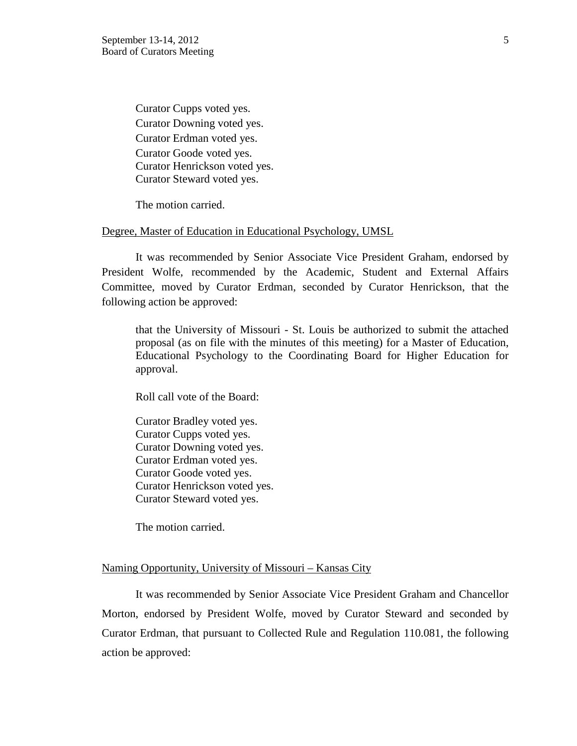Curator Cupps voted yes. Curator Downing voted yes. Curator Erdman voted yes. Curator Goode voted yes. Curator Henrickson voted yes. Curator Steward voted yes.

The motion carried.

#### Degree, Master of Education in Educational Psychology, UMSL

It was recommended by Senior Associate Vice President Graham, endorsed by President Wolfe, recommended by the Academic, Student and External Affairs Committee, moved by Curator Erdman, seconded by Curator Henrickson, that the following action be approved:

that the University of Missouri - St. Louis be authorized to submit the attached proposal (as on file with the minutes of this meeting) for a Master of Education, Educational Psychology to the Coordinating Board for Higher Education for approval.

Roll call vote of the Board:

Curator Bradley voted yes. Curator Cupps voted yes. Curator Downing voted yes. Curator Erdman voted yes. Curator Goode voted yes. Curator Henrickson voted yes. Curator Steward voted yes.

The motion carried.

#### Naming Opportunity, University of Missouri – Kansas City

It was recommended by Senior Associate Vice President Graham and Chancellor Morton, endorsed by President Wolfe, moved by Curator Steward and seconded by Curator Erdman, that pursuant to Collected Rule and Regulation 110.081, the following action be approved: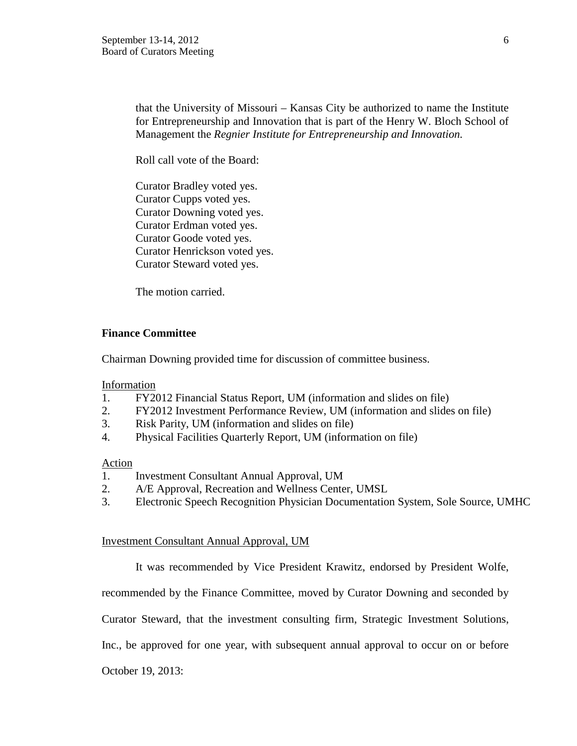that the University of Missouri – Kansas City be authorized to name the Institute for Entrepreneurship and Innovation that is part of the Henry W. Bloch School of Management the *Regnier Institute for Entrepreneurship and Innovation.*

Roll call vote of the Board:

Curator Bradley voted yes. Curator Cupps voted yes. Curator Downing voted yes. Curator Erdman voted yes. Curator Goode voted yes. Curator Henrickson voted yes. Curator Steward voted yes.

The motion carried.

## **Finance Committee**

Chairman Downing provided time for discussion of committee business.

Information

- 1. FY2012 Financial Status Report, UM (information and slides on file)
- 2. FY2012 Investment Performance Review, UM (information and slides on file)
- 3. Risk Parity, UM (information and slides on file)
- 4. Physical Facilities Quarterly Report, UM (information on file)

# Action

- 1. Investment Consultant Annual Approval, UM
- 2. A/E Approval, Recreation and Wellness Center, UMSL
- 3. Electronic Speech Recognition Physician Documentation System, Sole Source, UMHC

#### Investment Consultant Annual Approval, UM

It was recommended by Vice President Krawitz, endorsed by President Wolfe,

recommended by the Finance Committee, moved by Curator Downing and seconded by

Curator Steward, that the investment consulting firm, Strategic Investment Solutions,

Inc., be approved for one year, with subsequent annual approval to occur on or before

October 19, 2013: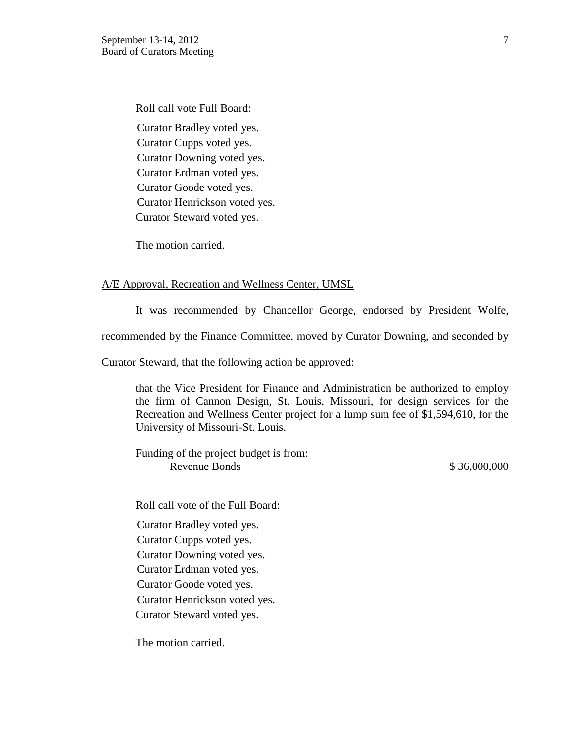Roll call vote Full Board: Curator Bradley voted yes. Curator Cupps voted yes. Curator Downing voted yes. Curator Erdman voted yes. Curator Goode voted yes. Curator Henrickson voted yes. Curator Steward voted yes.

The motion carried.

#### A/E Approval, Recreation and Wellness Center, UMSL

It was recommended by Chancellor George, endorsed by President Wolfe,

recommended by the Finance Committee, moved by Curator Downing, and seconded by

Curator Steward, that the following action be approved:

that the Vice President for Finance and Administration be authorized to employ the firm of Cannon Design, St. Louis, Missouri, for design services for the Recreation and Wellness Center project for a lump sum fee of \$1,594,610, for the University of Missouri-St. Louis.

Funding of the project budget is from: Revenue Bonds \$ 36,000,000

Roll call vote of the Full Board:

Curator Bradley voted yes.

Curator Cupps voted yes.

Curator Downing voted yes.

Curator Erdman voted yes.

Curator Goode voted yes.

Curator Henrickson voted yes.

Curator Steward voted yes.

The motion carried.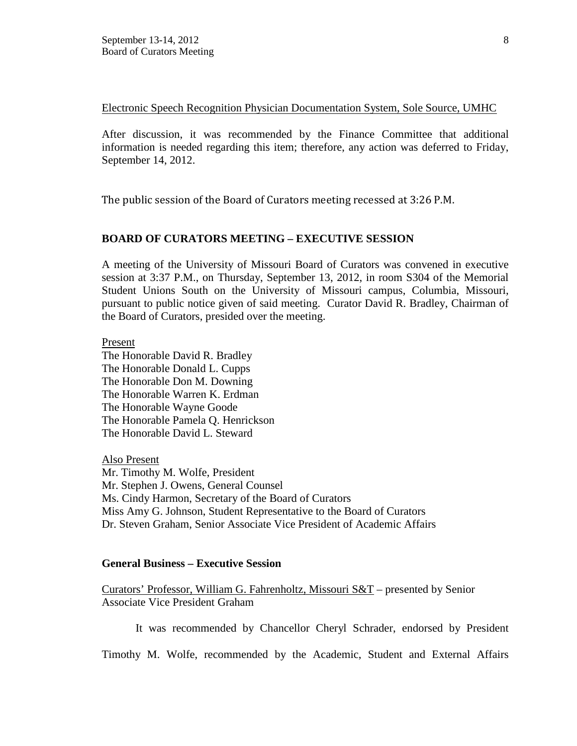Electronic Speech Recognition Physician Documentation System, Sole Source, UMHC

After discussion, it was recommended by the Finance Committee that additional information is needed regarding this item; therefore, any action was deferred to Friday, September 14, 2012.

The public session of the Board of Curators meeting recessed at 3:26 P.M.

## **BOARD OF CURATORS MEETING – EXECUTIVE SESSION**

A meeting of the University of Missouri Board of Curators was convened in executive session at 3:37 P.M., on Thursday, September 13, 2012, in room S304 of the Memorial Student Unions South on the University of Missouri campus, Columbia, Missouri, pursuant to public notice given of said meeting. Curator David R. Bradley, Chairman of the Board of Curators, presided over the meeting.

Present

The Honorable David R. Bradley The Honorable Donald L. Cupps The Honorable Don M. Downing The Honorable Warren K. Erdman The Honorable Wayne Goode The Honorable Pamela Q. Henrickson The Honorable David L. Steward

Also Present Mr. Timothy M. Wolfe, President Mr. Stephen J. Owens, General Counsel Ms. Cindy Harmon, Secretary of the Board of Curators Miss Amy G. Johnson, Student Representative to the Board of Curators Dr. Steven Graham, Senior Associate Vice President of Academic Affairs

#### **General Business – Executive Session**

Curators' Professor, William G. Fahrenholtz, Missouri S&T – presented by Senior Associate Vice President Graham

It was recommended by Chancellor Cheryl Schrader, endorsed by President

Timothy M. Wolfe, recommended by the Academic, Student and External Affairs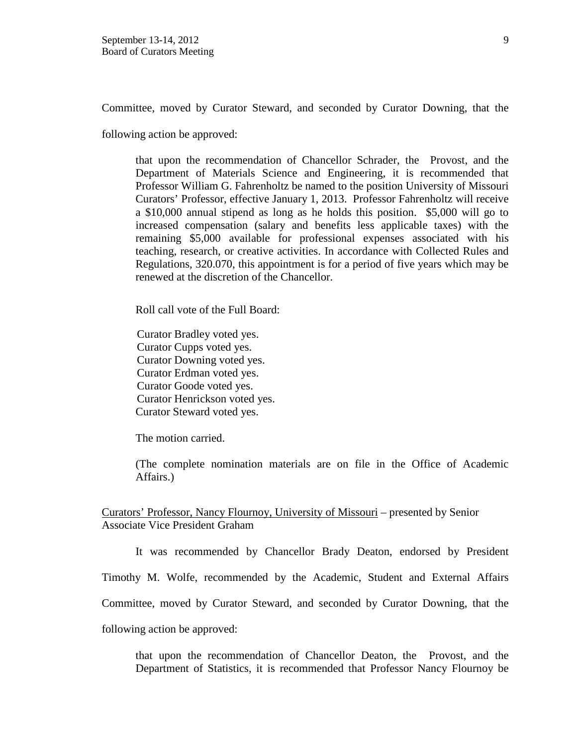Committee, moved by Curator Steward, and seconded by Curator Downing, that the

following action be approved:

that upon the recommendation of Chancellor Schrader, the Provost, and the Department of Materials Science and Engineering, it is recommended that Professor William G. Fahrenholtz be named to the position University of Missouri Curators' Professor, effective January 1, 2013. Professor Fahrenholtz will receive a \$10,000 annual stipend as long as he holds this position. \$5,000 will go to increased compensation (salary and benefits less applicable taxes) with the remaining \$5,000 available for professional expenses associated with his teaching, research, or creative activities. In accordance with Collected Rules and Regulations, 320.070, this appointment is for a period of five years which may be renewed at the discretion of the Chancellor.

Roll call vote of the Full Board:

Curator Bradley voted yes. Curator Cupps voted yes. Curator Downing voted yes. Curator Erdman voted yes. Curator Goode voted yes. Curator Henrickson voted yes. Curator Steward voted yes.

The motion carried.

(The complete nomination materials are on file in the Office of Academic Affairs.)

Curators' Professor, Nancy Flournoy, University of Missouri – presented by Senior Associate Vice President Graham

It was recommended by Chancellor Brady Deaton, endorsed by President Timothy M. Wolfe, recommended by the Academic, Student and External Affairs Committee, moved by Curator Steward, and seconded by Curator Downing, that the following action be approved:

that upon the recommendation of Chancellor Deaton, the Provost, and the Department of Statistics, it is recommended that Professor Nancy Flournoy be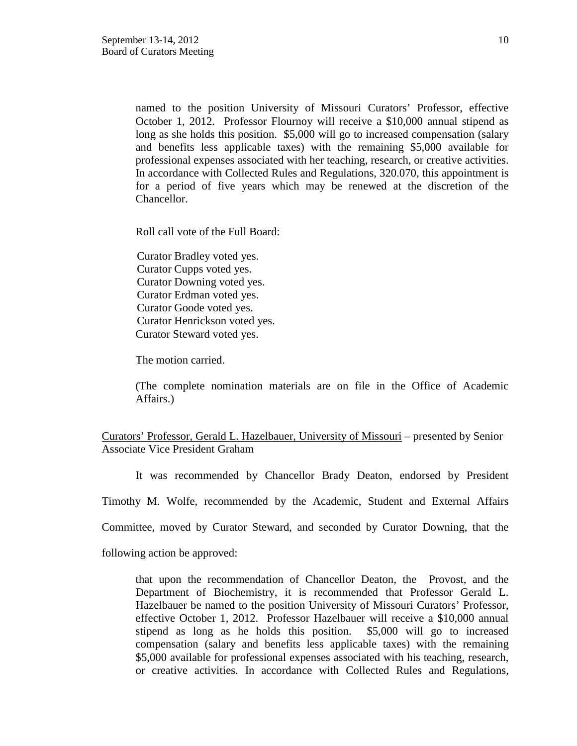named to the position University of Missouri Curators' Professor, effective October 1, 2012. Professor Flournoy will receive a \$10,000 annual stipend as long as she holds this position. \$5,000 will go to increased compensation (salary and benefits less applicable taxes) with the remaining \$5,000 available for professional expenses associated with her teaching, research, or creative activities. In accordance with Collected Rules and Regulations, 320.070, this appointment is for a period of five years which may be renewed at the discretion of the Chancellor.

Roll call vote of the Full Board:

Curator Bradley voted yes. Curator Cupps voted yes. Curator Downing voted yes. Curator Erdman voted yes. Curator Goode voted yes. Curator Henrickson voted yes. Curator Steward voted yes.

The motion carried.

(The complete nomination materials are on file in the Office of Academic Affairs.)

Curators' Professor, Gerald L. Hazelbauer, University of Missouri – presented by Senior Associate Vice President Graham

It was recommended by Chancellor Brady Deaton, endorsed by President

Timothy M. Wolfe, recommended by the Academic, Student and External Affairs

Committee, moved by Curator Steward, and seconded by Curator Downing, that the

following action be approved:

that upon the recommendation of Chancellor Deaton, the Provost, and the Department of Biochemistry, it is recommended that Professor Gerald L. Hazelbauer be named to the position University of Missouri Curators' Professor, effective October 1, 2012. Professor Hazelbauer will receive a \$10,000 annual stipend as long as he holds this position. \$5,000 will go to increased compensation (salary and benefits less applicable taxes) with the remaining \$5,000 available for professional expenses associated with his teaching, research, or creative activities. In accordance with Collected Rules and Regulations,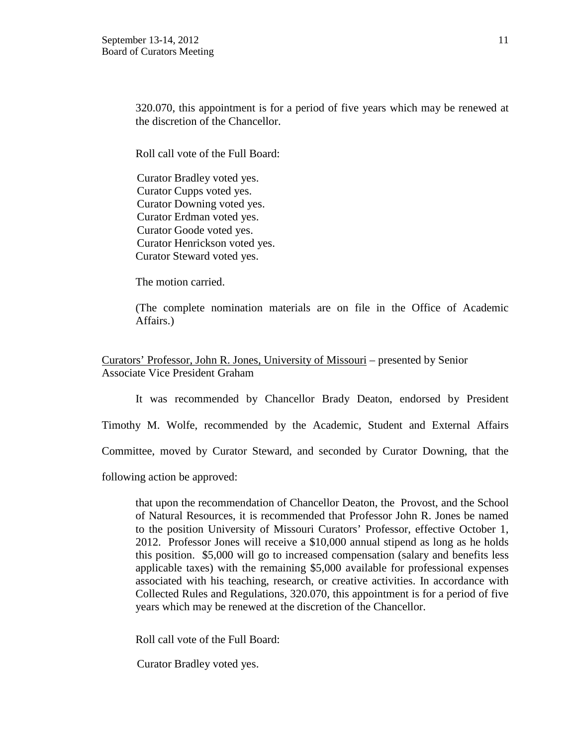320.070, this appointment is for a period of five years which may be renewed at the discretion of the Chancellor.

Roll call vote of the Full Board:

Curator Bradley voted yes. Curator Cupps voted yes. Curator Downing voted yes. Curator Erdman voted yes. Curator Goode voted yes. Curator Henrickson voted yes. Curator Steward voted yes.

The motion carried.

(The complete nomination materials are on file in the Office of Academic Affairs.)

Curators' Professor, John R. Jones, University of Missouri – presented by Senior Associate Vice President Graham

It was recommended by Chancellor Brady Deaton, endorsed by President

Timothy M. Wolfe, recommended by the Academic, Student and External Affairs

Committee, moved by Curator Steward, and seconded by Curator Downing, that the

following action be approved:

that upon the recommendation of Chancellor Deaton, the Provost, and the School of Natural Resources, it is recommended that Professor John R. Jones be named to the position University of Missouri Curators' Professor, effective October 1, 2012. Professor Jones will receive a \$10,000 annual stipend as long as he holds this position. \$5,000 will go to increased compensation (salary and benefits less applicable taxes) with the remaining \$5,000 available for professional expenses associated with his teaching, research, or creative activities. In accordance with Collected Rules and Regulations, 320.070, this appointment is for a period of five years which may be renewed at the discretion of the Chancellor.

Roll call vote of the Full Board:

Curator Bradley voted yes.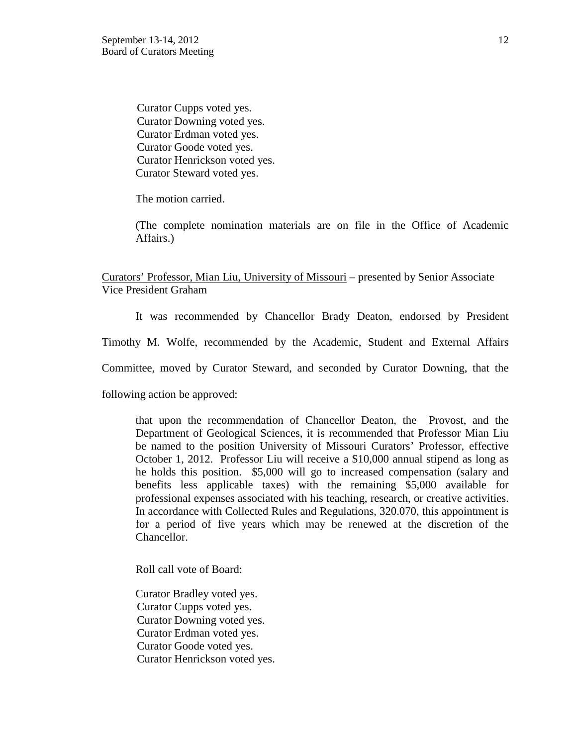Curator Cupps voted yes. Curator Downing voted yes. Curator Erdman voted yes. Curator Goode voted yes. Curator Henrickson voted yes. Curator Steward voted yes.

The motion carried.

(The complete nomination materials are on file in the Office of Academic Affairs.)

Curators' Professor, Mian Liu, University of Missouri – presented by Senior Associate Vice President Graham

It was recommended by Chancellor Brady Deaton, endorsed by President

Timothy M. Wolfe, recommended by the Academic, Student and External Affairs

Committee, moved by Curator Steward, and seconded by Curator Downing, that the

following action be approved:

that upon the recommendation of Chancellor Deaton, the Provost, and the Department of Geological Sciences, it is recommended that Professor Mian Liu be named to the position University of Missouri Curators' Professor, effective October 1, 2012. Professor Liu will receive a \$10,000 annual stipend as long as he holds this position. \$5,000 will go to increased compensation (salary and benefits less applicable taxes) with the remaining \$5,000 available for professional expenses associated with his teaching, research, or creative activities. In accordance with Collected Rules and Regulations, 320.070, this appointment is for a period of five years which may be renewed at the discretion of the Chancellor.

Roll call vote of Board:

Curator Bradley voted yes. Curator Cupps voted yes. Curator Downing voted yes. Curator Erdman voted yes. Curator Goode voted yes. Curator Henrickson voted yes.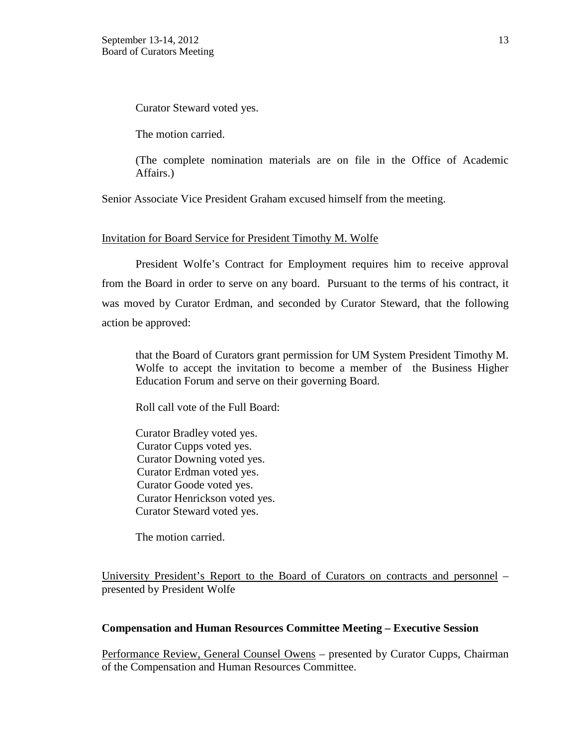Curator Steward voted yes.

The motion carried.

(The complete nomination materials are on file in the Office of Academic Affairs.)

Senior Associate Vice President Graham excused himself from the meeting.

#### Invitation for Board Service for President Timothy M. Wolfe

President Wolfe's Contract for Employment requires him to receive approval from the Board in order to serve on any board. Pursuant to the terms of his contract, it was moved by Curator Erdman, and seconded by Curator Steward, that the following action be approved:

that the Board of Curators grant permission for UM System President Timothy M. Wolfe to accept the invitation to become a member of the Business Higher Education Forum and serve on their governing Board.

Roll call vote of the Full Board:

Curator Bradley voted yes. Curator Cupps voted yes. Curator Downing voted yes. Curator Erdman voted yes. Curator Goode voted yes. Curator Henrickson voted yes. Curator Steward voted yes.

The motion carried.

University President's Report to the Board of Curators on contracts and personnel – presented by President Wolfe

#### **Compensation and Human Resources Committee Meeting – Executive Session**

Performance Review, General Counsel Owens – presented by Curator Cupps, Chairman of the Compensation and Human Resources Committee.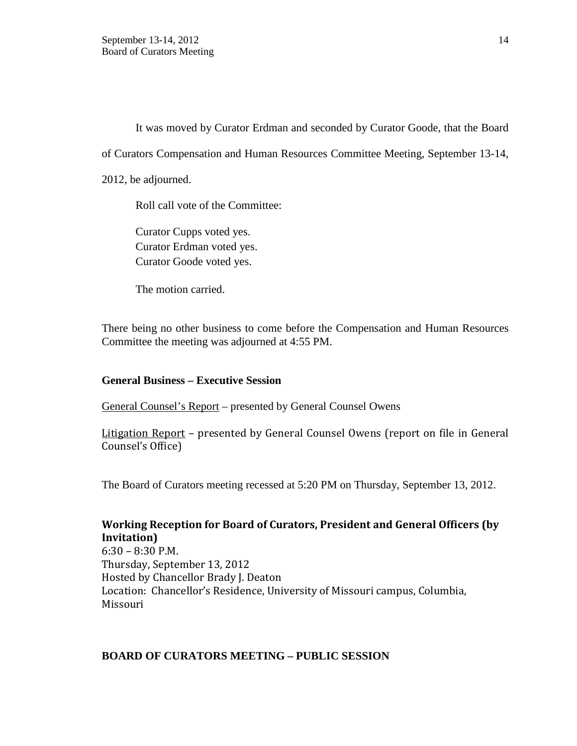It was moved by Curator Erdman and seconded by Curator Goode, that the Board

of Curators Compensation and Human Resources Committee Meeting, September 13-14,

2012, be adjourned.

Roll call vote of the Committee:

Curator Cupps voted yes. Curator Erdman voted yes. Curator Goode voted yes.

The motion carried.

There being no other business to come before the Compensation and Human Resources Committee the meeting was adjourned at 4:55 PM.

## **General Business – Executive Session**

General Counsel's Report – presented by General Counsel Owens

Litigation Report - presented by General Counsel Owens (report on file in General Counsel's Office)

The Board of Curators meeting recessed at 5:20 PM on Thursday, September 13, 2012.

# **Working Reception for Board of Curators, President and General Officers (by Invitation)**

6:30 – 8:30 P.M. Thursday, September 13, 2012 Hosted by Chancellor Brady J. Deaton Location: Chancellor's Residence, University of Missouri campus, Columbia, Missouri

## **BOARD OF CURATORS MEETING – PUBLIC SESSION**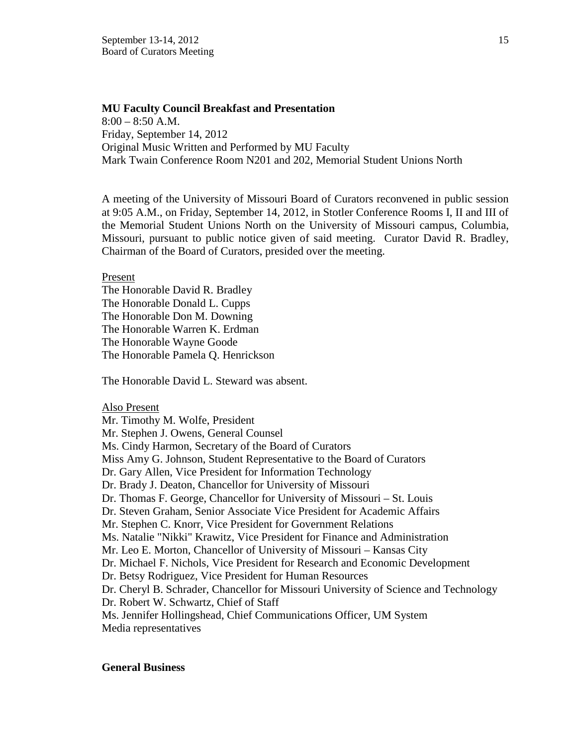#### **MU Faculty Council Breakfast and Presentation**

 $8:00 - 8:50$  A.M. Friday, September 14, 2012 Original Music Written and Performed by MU Faculty Mark Twain Conference Room N201 and 202, Memorial Student Unions North

A meeting of the University of Missouri Board of Curators reconvened in public session at 9:05 A.M., on Friday, September 14, 2012, in Stotler Conference Rooms I, II and III of the Memorial Student Unions North on the University of Missouri campus, Columbia, Missouri, pursuant to public notice given of said meeting. Curator David R. Bradley, Chairman of the Board of Curators, presided over the meeting.

#### Present

The Honorable David R. Bradley The Honorable Donald L. Cupps The Honorable Don M. Downing The Honorable Warren K. Erdman The Honorable Wayne Goode The Honorable Pamela Q. Henrickson

The Honorable David L. Steward was absent.

Also Present

Mr. Timothy M. Wolfe, President Mr. Stephen J. Owens, General Counsel Ms. Cindy Harmon, Secretary of the Board of Curators Miss Amy G. Johnson, Student Representative to the Board of Curators Dr. Gary Allen, Vice President for Information Technology Dr. Brady J. Deaton, Chancellor for University of Missouri Dr. Thomas F. George, Chancellor for University of Missouri – St. Louis Dr. Steven Graham, Senior Associate Vice President for Academic Affairs Mr. Stephen C. Knorr, Vice President for Government Relations Ms. Natalie "Nikki" Krawitz, Vice President for Finance and Administration Mr. Leo E. Morton, Chancellor of University of Missouri – Kansas City Dr. Michael F. Nichols, Vice President for Research and Economic Development Dr. Betsy Rodriguez, Vice President for Human Resources Dr. Cheryl B. Schrader, Chancellor for Missouri University of Science and Technology Dr. Robert W. Schwartz, Chief of Staff Ms. Jennifer Hollingshead, Chief Communications Officer, UM System Media representatives

#### **General Business**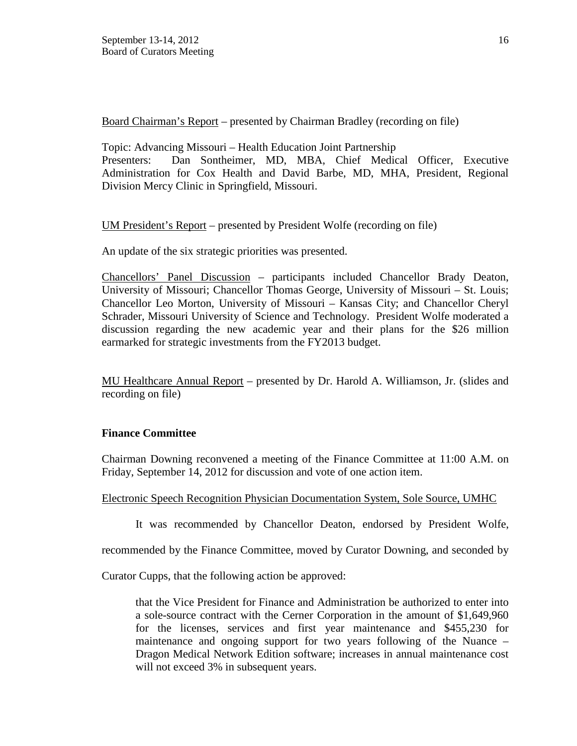Board Chairman's Report – presented by Chairman Bradley (recording on file)

Topic: Advancing Missouri – Health Education Joint Partnership Presenters: Dan Sontheimer, MD, MBA, Chief Medical Officer, Executive Administration for Cox Health and David Barbe, MD, MHA, President, Regional Division Mercy Clinic in Springfield, Missouri.

UM President's Report – presented by President Wolfe (recording on file)

An update of the six strategic priorities was presented.

Chancellors' Panel Discussion – participants included Chancellor Brady Deaton, University of Missouri; Chancellor Thomas George, University of Missouri – St. Louis; Chancellor Leo Morton, University of Missouri – Kansas City; and Chancellor Cheryl Schrader, Missouri University of Science and Technology. President Wolfe moderated a discussion regarding the new academic year and their plans for the \$26 million earmarked for strategic investments from the FY2013 budget.

MU Healthcare Annual Report – presented by Dr. Harold A. Williamson, Jr. (slides and recording on file)

## **Finance Committee**

Chairman Downing reconvened a meeting of the Finance Committee at 11:00 A.M. on Friday, September 14, 2012 for discussion and vote of one action item.

## Electronic Speech Recognition Physician Documentation System, Sole Source, UMHC

It was recommended by Chancellor Deaton, endorsed by President Wolfe,

recommended by the Finance Committee, moved by Curator Downing, and seconded by

Curator Cupps, that the following action be approved:

that the Vice President for Finance and Administration be authorized to enter into a sole-source contract with the Cerner Corporation in the amount of \$1,649,960 for the licenses, services and first year maintenance and \$455,230 for maintenance and ongoing support for two years following of the Nuance – Dragon Medical Network Edition software; increases in annual maintenance cost will not exceed 3% in subsequent years.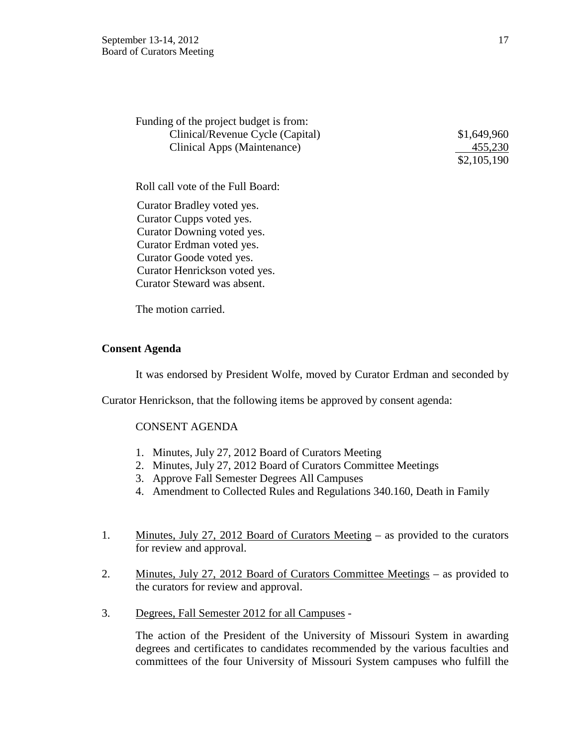| Funding of the project budget is from: |
|----------------------------------------|
| Clinical/Revenue Cycle (Capital)       |
| Clinical Apps (Maintenance)            |

 $$1,649,960$ 455,230 \$2,105,190

Roll call vote of the Full Board:

Curator Bradley voted yes. Curator Cupps voted yes. Curator Downing voted yes. Curator Erdman voted yes. Curator Goode voted yes. Curator Henrickson voted yes. Curator Steward was absent.

The motion carried.

#### **Consent Agenda**

It was endorsed by President Wolfe, moved by Curator Erdman and seconded by

Curator Henrickson, that the following items be approved by consent agenda:

## CONSENT AGENDA

- 1. Minutes, July 27, 2012 Board of Curators Meeting
- 2. Minutes, July 27, 2012 Board of Curators Committee Meetings
- 3. Approve Fall Semester Degrees All Campuses
- 4. Amendment to Collected Rules and Regulations 340.160, Death in Family
- 1. Minutes, July 27, 2012 Board of Curators Meeting as provided to the curators for review and approval.
- 2. Minutes, July 27, 2012 Board of Curators Committee Meetings as provided to the curators for review and approval.
- 3. Degrees, Fall Semester 2012 for all Campuses -

The action of the President of the University of Missouri System in awarding degrees and certificates to candidates recommended by the various faculties and committees of the four University of Missouri System campuses who fulfill the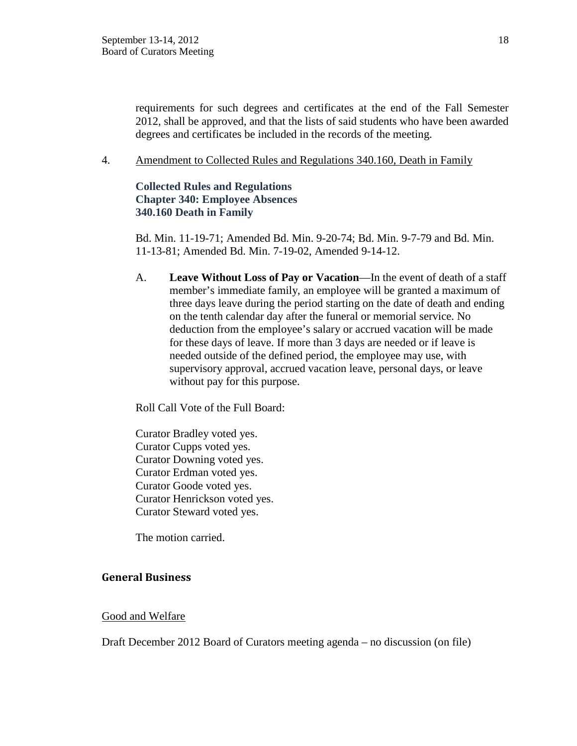requirements for such degrees and certificates at the end of the Fall Semester 2012, shall be approved, and that the lists of said students who have been awarded degrees and certificates be included in the records of the meeting.

4. Amendment to Collected Rules and Regulations 340.160, Death in Family

# **Collected Rules and Regulations Chapter 340: Employee Absences 340.160 Death in Family**

Bd. Min. 11-19-71; Amended Bd. Min. 9-20-74; Bd. Min. 9-7-79 and Bd. Min. 11-13-81; Amended Bd. Min. 7-19-02, Amended 9-14-12.

A. **Leave Without Loss of Pay or Vacation**—In the event of death of a staff member's immediate family, an employee will be granted a maximum of three days leave during the period starting on the date of death and ending on the tenth calendar day after the funeral or memorial service. No deduction from the employee's salary or accrued vacation will be made for these days of leave. If more than 3 days are needed or if leave is needed outside of the defined period, the employee may use, with supervisory approval, accrued vacation leave, personal days, or leave without pay for this purpose.

Roll Call Vote of the Full Board:

Curator Bradley voted yes. Curator Cupps voted yes. Curator Downing voted yes. Curator Erdman voted yes. Curator Goode voted yes. Curator Henrickson voted yes. Curator Steward voted yes.

The motion carried.

# **General Business**

## Good and Welfare

Draft December 2012 Board of Curators meeting agenda – no discussion (on file)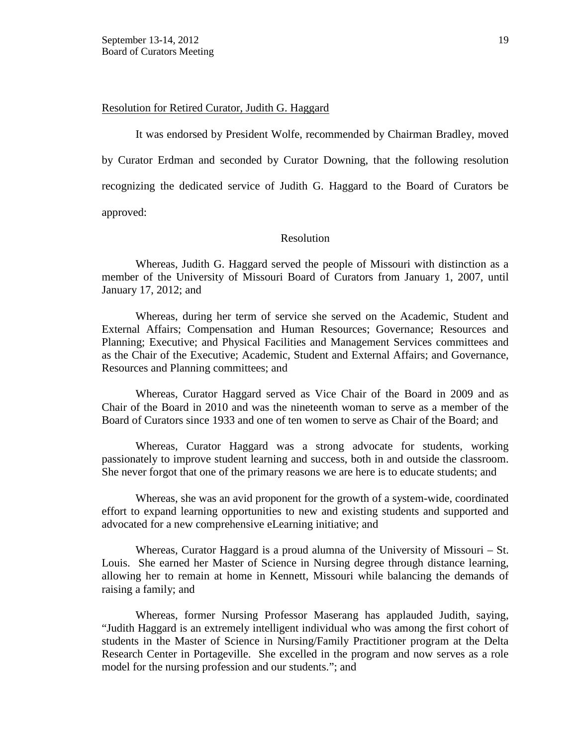#### Resolution for Retired Curator, Judith G. Haggard

It was endorsed by President Wolfe, recommended by Chairman Bradley, moved by Curator Erdman and seconded by Curator Downing, that the following resolution recognizing the dedicated service of Judith G. Haggard to the Board of Curators be approved:

#### Resolution

Whereas, Judith G. Haggard served the people of Missouri with distinction as a member of the University of Missouri Board of Curators from January 1, 2007, until January 17, 2012; and

Whereas, during her term of service she served on the Academic, Student and External Affairs; Compensation and Human Resources; Governance; Resources and Planning; Executive; and Physical Facilities and Management Services committees and as the Chair of the Executive; Academic, Student and External Affairs; and Governance, Resources and Planning committees; and

Whereas, Curator Haggard served as Vice Chair of the Board in 2009 and as Chair of the Board in 2010 and was the nineteenth woman to serve as a member of the Board of Curators since 1933 and one of ten women to serve as Chair of the Board; and

Whereas, Curator Haggard was a strong advocate for students, working passionately to improve student learning and success, both in and outside the classroom. She never forgot that one of the primary reasons we are here is to educate students; and

Whereas, she was an avid proponent for the growth of a system-wide, coordinated effort to expand learning opportunities to new and existing students and supported and advocated for a new comprehensive eLearning initiative; and

Whereas, Curator Haggard is a proud alumna of the University of Missouri – St. Louis. She earned her Master of Science in Nursing degree through distance learning, allowing her to remain at home in Kennett, Missouri while balancing the demands of raising a family; and

Whereas, former Nursing Professor Maserang has applauded Judith, saying, "Judith Haggard is an extremely intelligent individual who was among the first cohort of students in the Master of Science in Nursing/Family Practitioner program at the Delta Research Center in Portageville. She excelled in the program and now serves as a role model for the nursing profession and our students."; and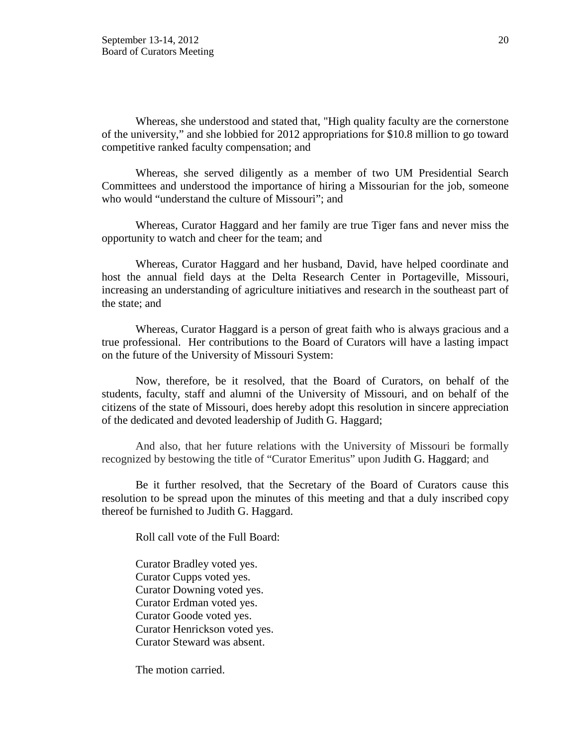Whereas, she understood and stated that, "High quality faculty are the cornerstone of the university," and she lobbied for 2012 appropriations for \$10.8 million to go toward competitive ranked faculty compensation; and

Whereas, she served diligently as a member of two UM Presidential Search Committees and understood the importance of hiring a Missourian for the job, someone who would "understand the culture of Missouri"; and

Whereas, Curator Haggard and her family are true Tiger fans and never miss the opportunity to watch and cheer for the team; and

Whereas, Curator Haggard and her husband, David, have helped coordinate and host the annual field days at the Delta Research Center in Portageville, Missouri, increasing an understanding of agriculture initiatives and research in the southeast part of the state; and

Whereas, Curator Haggard is a person of great faith who is always gracious and a true professional. Her contributions to the Board of Curators will have a lasting impact on the future of the University of Missouri System:

Now, therefore, be it resolved, that the Board of Curators, on behalf of the students, faculty, staff and alumni of the University of Missouri, and on behalf of the citizens of the state of Missouri, does hereby adopt this resolution in sincere appreciation of the dedicated and devoted leadership of Judith G. Haggard;

 And also, that her future relations with the University of Missouri be formally recognized by bestowing the title of "Curator Emeritus" upon Judith G. Haggard; and

 Be it further resolved, that the Secretary of the Board of Curators cause this resolution to be spread upon the minutes of this meeting and that a duly inscribed copy thereof be furnished to Judith G. Haggard.

Roll call vote of the Full Board:

Curator Bradley voted yes. Curator Cupps voted yes. Curator Downing voted yes. Curator Erdman voted yes. Curator Goode voted yes. Curator Henrickson voted yes. Curator Steward was absent.

The motion carried.